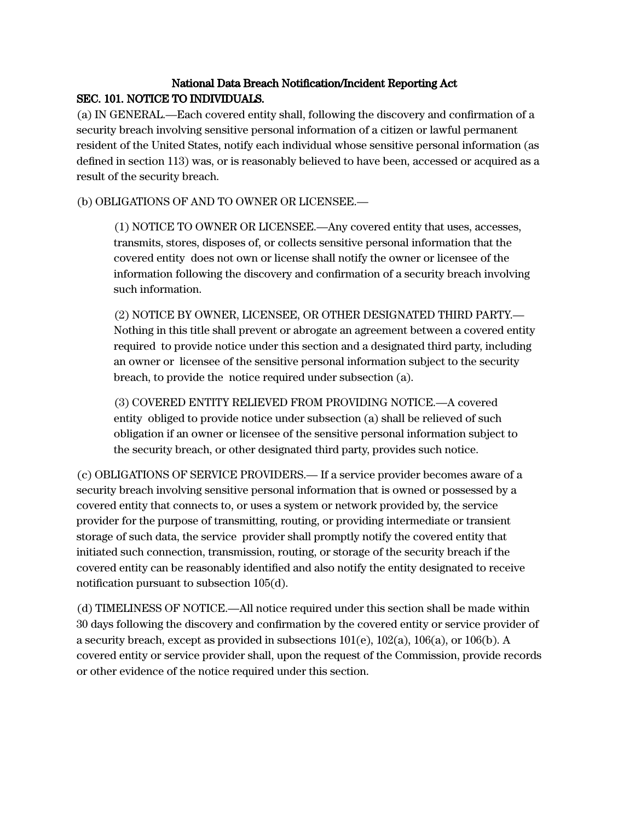# National Data Breach Notification/Incident Reporting Act SEC. 101. NOTICE TO INDIVIDUALS.

(a) IN GENERAL.—Each covered entity shall, following the discovery and confirmation of a security breach involving sensitive personal information of a citizen or lawful permanent resident of the United States, notify each individual whose sensitive personal information (as defined in section 113) was, or is reasonably believed to have been, accessed or acquired as a result of the security breach.

(b) OBLIGATIONS OF AND TO OWNER OR LICENSEE.—

(1) NOTICE TO OWNER OR LICENSEE.—Any covered entity that uses, accesses, transmits, stores, disposes of, or collects sensitive personal information that the covered entity does not own or license shall notify the owner or licensee of the information following the discovery and confirmation of a security breach involving such information.

(2) NOTICE BY OWNER, LICENSEE, OR OTHER DESIGNATED THIRD PARTY.— Nothing in this title shall prevent or abrogate an agreement between a covered entity required to provide notice under this section and a designated third party, including an owner or licensee of the sensitive personal information subject to the security breach, to provide the notice required under subsection (a).

(3) COVERED ENTITY RELIEVED FROM PROVIDING NOTICE.—A covered entity obliged to provide notice under subsection (a) shall be relieved of such obligation if an owner or licensee of the sensitive personal information subject to the security breach, or other designated third party, provides such notice.

(c) OBLIGATIONS OF SERVICE PROVIDERS.— If a service provider becomes aware of a security breach involving sensitive personal information that is owned or possessed by a covered entity that connects to, or uses a system or network provided by, the service provider for the purpose of transmitting, routing, or providing intermediate or transient storage of such data, the service provider shall promptly notify the covered entity that initiated such connection, transmission, routing, or storage of the security breach if the covered entity can be reasonably identified and also notify the entity designated to receive notification pursuant to subsection 105(d).

(d) TIMELINESS OF NOTICE.—All notice required under this section shall be made within 30 days following the discovery and confirmation by the covered entity or service provider of a security breach, except as provided in subsections  $101(e)$ ,  $102(a)$ ,  $106(a)$ , or  $106(b)$ . A covered entity or service provider shall, upon the request of the Commission, provide records or other evidence of the notice required under this section.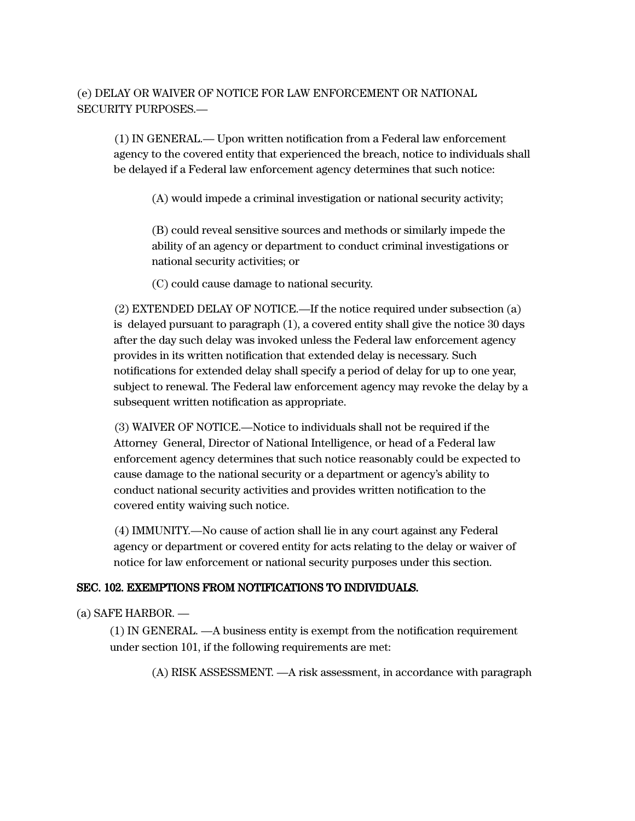# (e) DELAY OR WAIVER OF NOTICE FOR LAW ENFORCEMENT OR NATIONAL SECURITY PURPOSES.—

(1) IN GENERAL.— Upon written notification from a Federal law enforcement agency to the covered entity that experienced the breach, notice to individuals shall be delayed if a Federal law enforcement agency determines that such notice:

(A) would impede a criminal investigation or national security activity;

(B) could reveal sensitive sources and methods or similarly impede the ability of an agency or department to conduct criminal investigations or national security activities; or

(C) could cause damage to national security.

(2) EXTENDED DELAY OF NOTICE.—If the notice required under subsection (a) is delayed pursuant to paragraph (1), a covered entity shall give the notice 30 days after the day such delay was invoked unless the Federal law enforcement agency provides in its written notification that extended delay is necessary. Such notifications for extended delay shall specify a period of delay for up to one year, subject to renewal. The Federal law enforcement agency may revoke the delay by a subsequent written notification as appropriate.

(3) WAIVER OF NOTICE.—Notice to individuals shall not be required if the Attorney General, Director of National Intelligence, or head of a Federal law enforcement agency determines that such notice reasonably could be expected to cause damage to the national security or a department or agency's ability to conduct national security activities and provides written notification to the covered entity waiving such notice.

(4) IMMUNITY.—No cause of action shall lie in any court against any Federal agency or department or covered entity for acts relating to the delay or waiver of notice for law enforcement or national security purposes under this section.

### SEC. 102. EXEMPTIONS FROM NOTIFICATIONS TO INDIVIDUALS.

#### (a) SAFE HARBOR. —

(1) IN GENERAL. —A business entity is exempt from the notification requirement under section 101, if the following requirements are met:

(A) RISK ASSESSMENT. —A risk assessment, in accordance with paragraph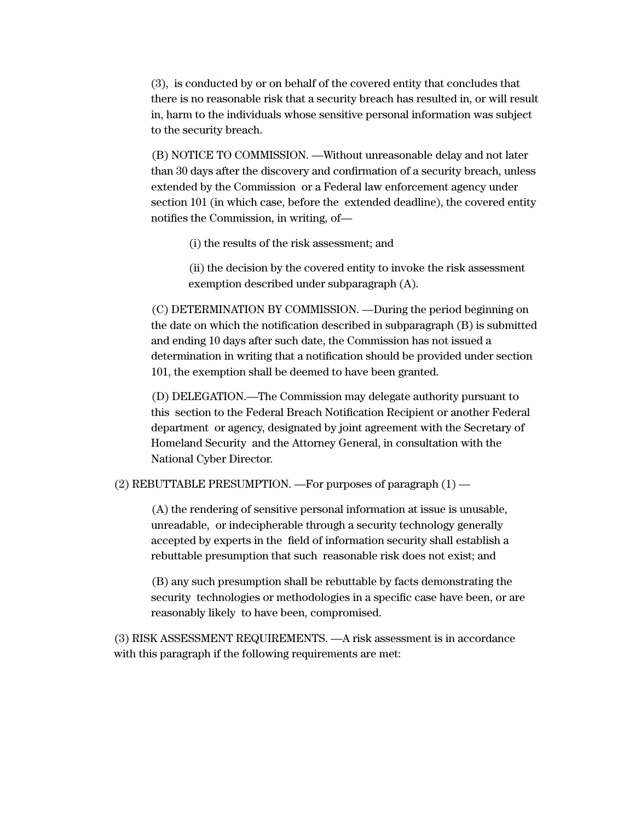(3), is conducted by or on behalf of the covered entity that concludes that there is no reasonable risk that a security breach has resulted in, or will result in, harm to the individuals whose sensitive personal information was subject to the security breach.

(B) NOTICE TO COMMISSION. —Without unreasonable delay and not later than 30 days after the discovery and confirmation of a security breach, unless extended by the Commission or a Federal law enforcement agency under section 101 (in which case, before the extended deadline), the covered entity notifies the Commission, in writing, of—

(i) the results of the risk assessment; and

(ii) the decision by the covered entity to invoke the risk assessment exemption described under subparagraph (A).

(C) DETERMINATION BY COMMISSION. —During the period beginning on the date on which the notification described in subparagraph (B) is submitted and ending 10 days after such date, the Commission has not issued a determination in writing that a notification should be provided under section 101, the exemption shall be deemed to have been granted.

(D) DELEGATION.—The Commission may delegate authority pursuant to this section to the Federal Breach Notification Recipient or another Federal department or agency, designated by joint agreement with the Secretary of Homeland Security and the Attorney General, in consultation with the National Cyber Director.

(2) REBUTTABLE PRESUMPTION. —For purposes of paragraph (1) —

(A) the rendering of sensitive personal information at issue is unusable, unreadable, or indecipherable through a security technology generally accepted by experts in the field of information security shall establish a rebuttable presumption that such reasonable risk does not exist; and

(B) any such presumption shall be rebuttable by facts demonstrating the security technologies or methodologies in a specific case have been, or are reasonably likely to have been, compromised.

(3) RISK ASSESSMENT REQUIREMENTS. —A risk assessment is in accordance with this paragraph if the following requirements are met: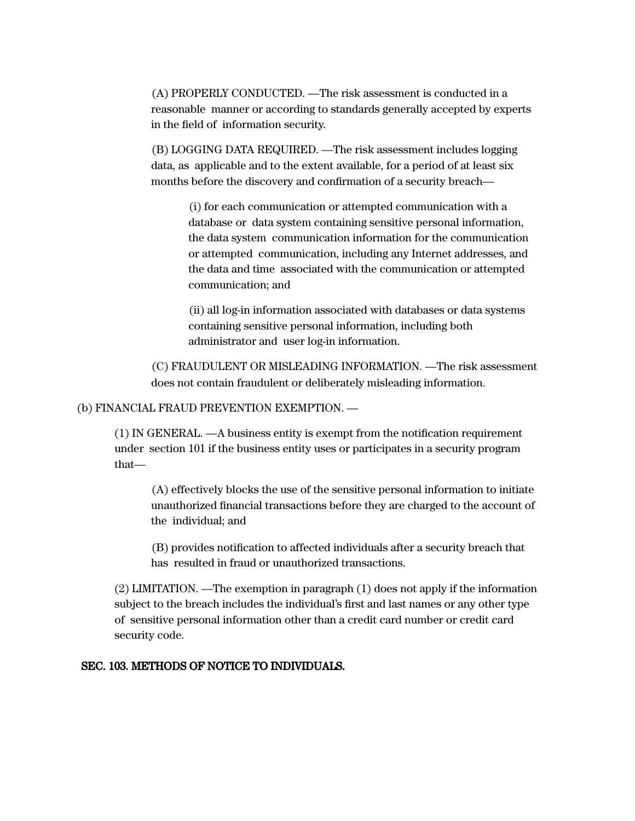(A) PROPERLY CONDUCTED. —The risk assessment is conducted in a reasonable manner or according to standards generally accepted by experts in the field of information security.

(B) LOGGING DATA REQUIRED. —The risk assessment includes logging data, as applicable and to the extent available, for a period of at least six months before the discovery and confirmation of a security breach—

> (i) for each communication or attempted communication with a database or data system containing sensitive personal information, the data system communication information for the communication or attempted communication, including any Internet addresses, and the data and time associated with the communication or attempted communication; and

> (ii) all log-in information associated with databases or data systems containing sensitive personal information, including both administrator and user log-in information.

(C) FRAUDULENT OR MISLEADING INFORMATION. —The risk assessment does not contain fraudulent or deliberately misleading information.

(b) FINANCIAL FRAUD PREVENTION EXEMPTION. —

(1) IN GENERAL. —A business entity is exempt from the notification requirement under section 101 if the business entity uses or participates in a security program that—

(A) effectively blocks the use of the sensitive personal information to initiate unauthorized financial transactions before they are charged to the account of the individual; and

(B) provides notification to affected individuals after a security breach that has resulted in fraud or unauthorized transactions.

(2) LIMITATION. —The exemption in paragraph (1) does not apply if the information subject to the breach includes the individual's first and last names or any other type of sensitive personal information other than a credit card number or credit card security code.

#### SEC. 103. METHODS OF NOTICE TO INDIVIDUALS.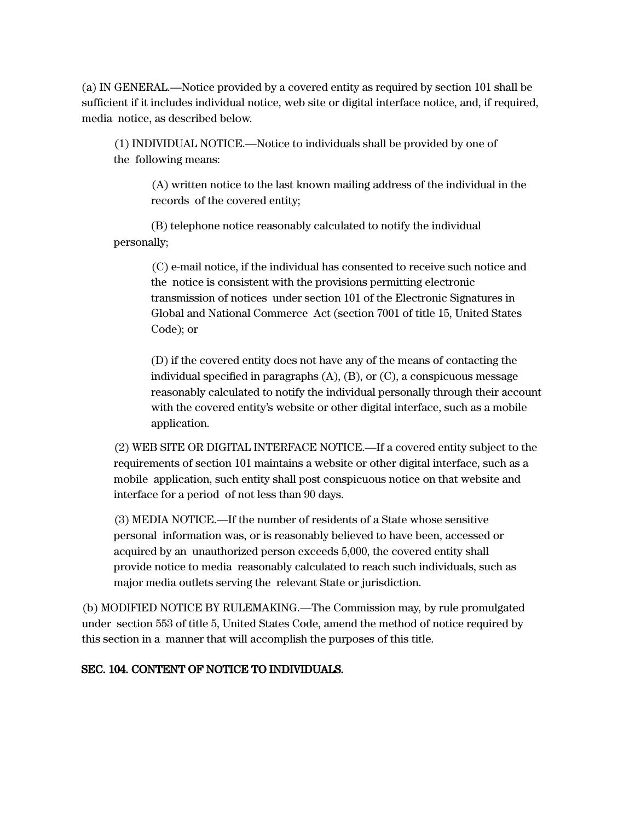(a) IN GENERAL.—Notice provided by a covered entity as required by section 101 shall be sufficient if it includes individual notice, web site or digital interface notice, and, if required, media notice, as described below.

(1) INDIVIDUAL NOTICE.—Notice to individuals shall be provided by one of the following means:

(A) written notice to the last known mailing address of the individual in the records of the covered entity;

(B) telephone notice reasonably calculated to notify the individual personally;

> (C) e-mail notice, if the individual has consented to receive such notice and the notice is consistent with the provisions permitting electronic transmission of notices under section 101 of the Electronic Signatures in Global and National Commerce Act (section 7001 of title 15, United States Code); or

(D) if the covered entity does not have any of the means of contacting the individual specified in paragraphs (A), (B), or (C), a conspicuous message reasonably calculated to notify the individual personally through their account with the covered entity's website or other digital interface, such as a mobile application.

(2) WEB SITE OR DIGITAL INTERFACE NOTICE.—If a covered entity subject to the requirements of section 101 maintains a website or other digital interface, such as a mobile application, such entity shall post conspicuous notice on that website and interface for a period of not less than 90 days.

(3) MEDIA NOTICE.—If the number of residents of a State whose sensitive personal information was, or is reasonably believed to have been, accessed or acquired by an unauthorized person exceeds 5,000, the covered entity shall provide notice to media reasonably calculated to reach such individuals, such as major media outlets serving the relevant State or jurisdiction.

(b) MODIFIED NOTICE BY RULEMAKING.—The Commission may, by rule promulgated under section 553 of title 5, United States Code, amend the method of notice required by this section in a manner that will accomplish the purposes of this title.

### SEC. 104. CONTENT OF NOTICE TO INDIVIDUALS.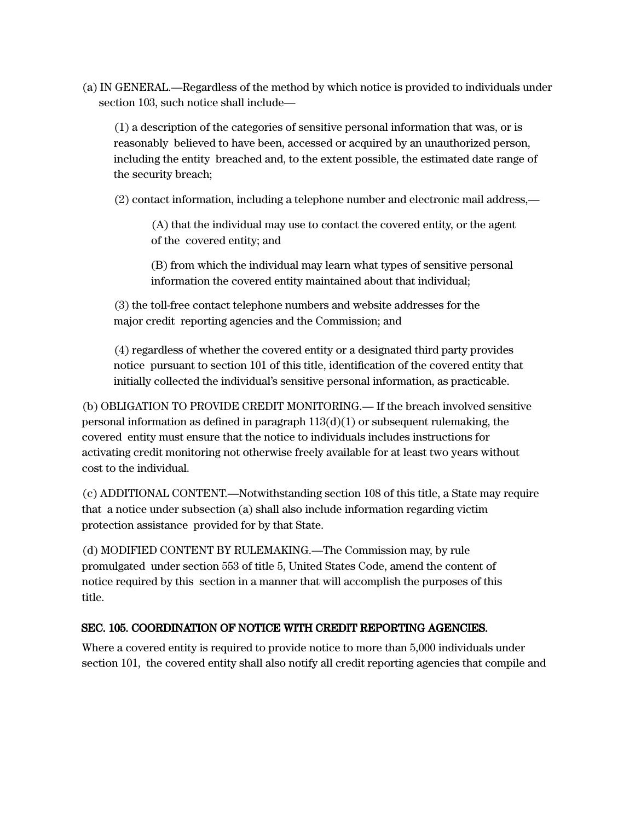(a) IN GENERAL.—Regardless of the method by which notice is provided to individuals under section 103, such notice shall include—

(1) a description of the categories of sensitive personal information that was, or is reasonably believed to have been, accessed or acquired by an unauthorized person, including the entity breached and, to the extent possible, the estimated date range of the security breach;

(2) contact information, including a telephone number and electronic mail address,—

(A) that the individual may use to contact the covered entity, or the agent of the covered entity; and

(B) from which the individual may learn what types of sensitive personal information the covered entity maintained about that individual;

(3) the toll-free contact telephone numbers and website addresses for the major credit reporting agencies and the Commission; and

(4) regardless of whether the covered entity or a designated third party provides notice pursuant to section 101 of this title, identification of the covered entity that initially collected the individual's sensitive personal information, as practicable.

(b) OBLIGATION TO PROVIDE CREDIT MONITORING.— If the breach involved sensitive personal information as defined in paragraph  $113(d)(1)$  or subsequent rulemaking, the covered entity must ensure that the notice to individuals includes instructions for activating credit monitoring not otherwise freely available for at least two years without cost to the individual.

(c) ADDITIONAL CONTENT.—Notwithstanding section 108 of this title, a State may require that a notice under subsection (a) shall also include information regarding victim protection assistance provided for by that State.

(d) MODIFIED CONTENT BY RULEMAKING.—The Commission may, by rule promulgated under section 553 of title 5, United States Code, amend the content of notice required by this section in a manner that will accomplish the purposes of this title.

# SEC. 105. COORDINATION OF NOTICE WITH CREDIT REPORTING AGENCIES.

Where a covered entity is required to provide notice to more than 5,000 individuals under section 101, the covered entity shall also notify all credit reporting agencies that compile and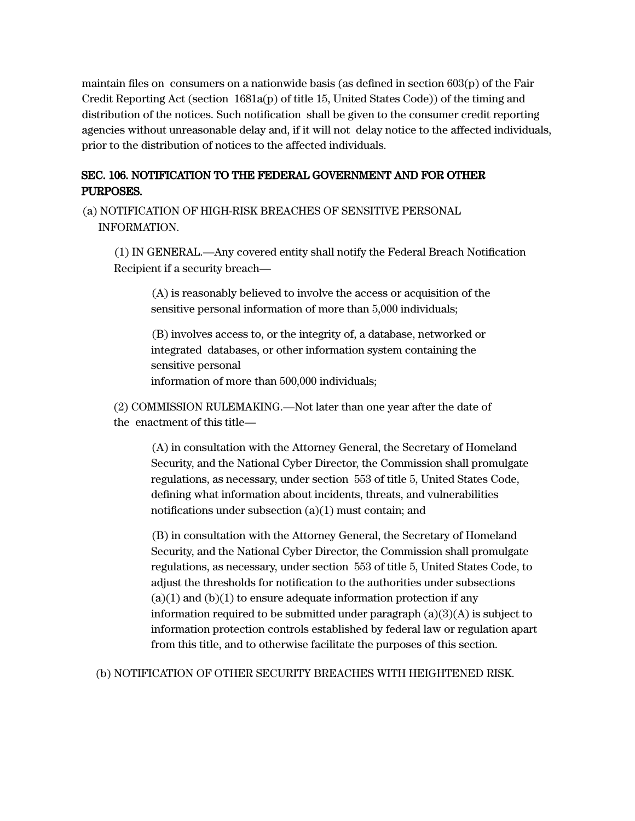maintain files on consumers on a nationwide basis (as defined in section 603(p) of the Fair Credit Reporting Act (section 1681a(p) of title 15, United States Code)) of the timing and distribution of the notices. Such notification shall be given to the consumer credit reporting agencies without unreasonable delay and, if it will not delay notice to the affected individuals, prior to the distribution of notices to the affected individuals.

# SEC. 106. NOTIFICATION TO THE FEDERAL GOVERNMENT AND FOR OTHER PURPOSES.

(a) NOTIFICATION OF HIGH-RISK BREACHES OF SENSITIVE PERSONAL INFORMATION.

(1) IN GENERAL.—Any covered entity shall notify the Federal Breach Notification Recipient if a security breach—

(A) is reasonably believed to involve the access or acquisition of the sensitive personal information of more than 5,000 individuals;

(B) involves access to, or the integrity of, a database, networked or integrated databases, or other information system containing the sensitive personal information of more than 500,000 individuals;

(2) COMMISSION RULEMAKING.—Not later than one year after the date of the enactment of this title—

(A) in consultation with the Attorney General, the Secretary of Homeland Security, and the National Cyber Director, the Commission shall promulgate regulations, as necessary, under section 553 of title 5, United States Code, defining what information about incidents, threats, and vulnerabilities notifications under subsection (a)(1) must contain; and

(B) in consultation with the Attorney General, the Secretary of Homeland Security, and the National Cyber Director, the Commission shall promulgate regulations, as necessary, under section 553 of title 5, United States Code, to adjust the thresholds for notification to the authorities under subsections  $(a)(1)$  and  $(b)(1)$  to ensure adequate information protection if any information required to be submitted under paragraph  $(a)(3)(A)$  is subject to information protection controls established by federal law or regulation apart from this title, and to otherwise facilitate the purposes of this section.

(b) NOTIFICATION OF OTHER SECURITY BREACHES WITH HEIGHTENED RISK.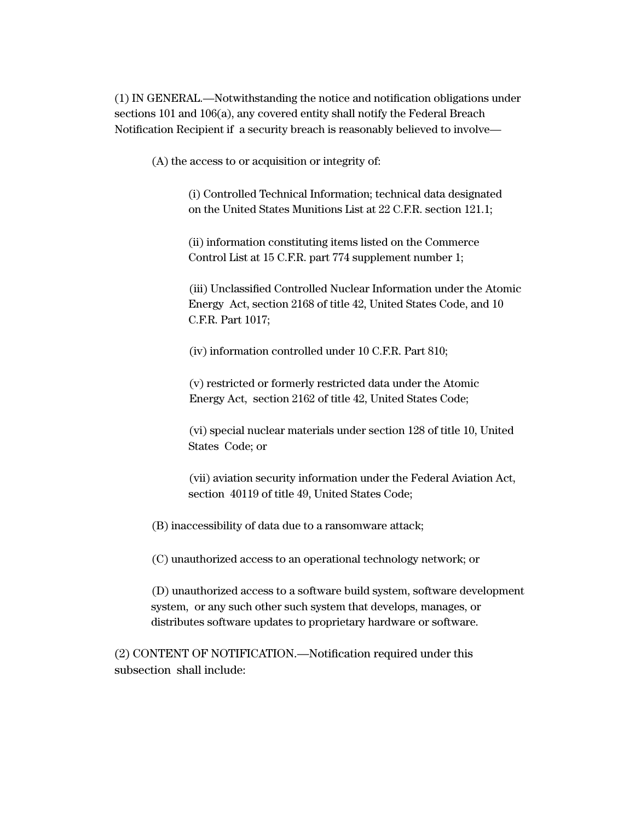(1) IN GENERAL.—Notwithstanding the notice and notification obligations under sections 101 and 106(a), any covered entity shall notify the Federal Breach Notification Recipient if a security breach is reasonably believed to involve—

(A) the access to or acquisition or integrity of:

(i) Controlled Technical Information; technical data designated on the United States Munitions List at 22 C.F.R. section 121.1;

(ii) information constituting items listed on the Commerce Control List at 15 C.F.R. part 774 supplement number 1;

(iii) Unclassified Controlled Nuclear Information under the Atomic Energy Act, section 2168 of title 42, United States Code, and 10 C.F.R. Part 1017;

(iv) information controlled under 10 C.F.R. Part 810;

(v) restricted or formerly restricted data under the Atomic Energy Act, section 2162 of title 42, United States Code;

(vi) special nuclear materials under section 128 of title 10, United States Code; or

(vii) aviation security information under the Federal Aviation Act, section 40119 of title 49, United States Code;

(B) inaccessibility of data due to a ransomware attack;

(C) unauthorized access to an operational technology network; or

(D) unauthorized access to a software build system, software development system, or any such other such system that develops, manages, or distributes software updates to proprietary hardware or software.

(2) CONTENT OF NOTIFICATION.—Notification required under this subsection shall include: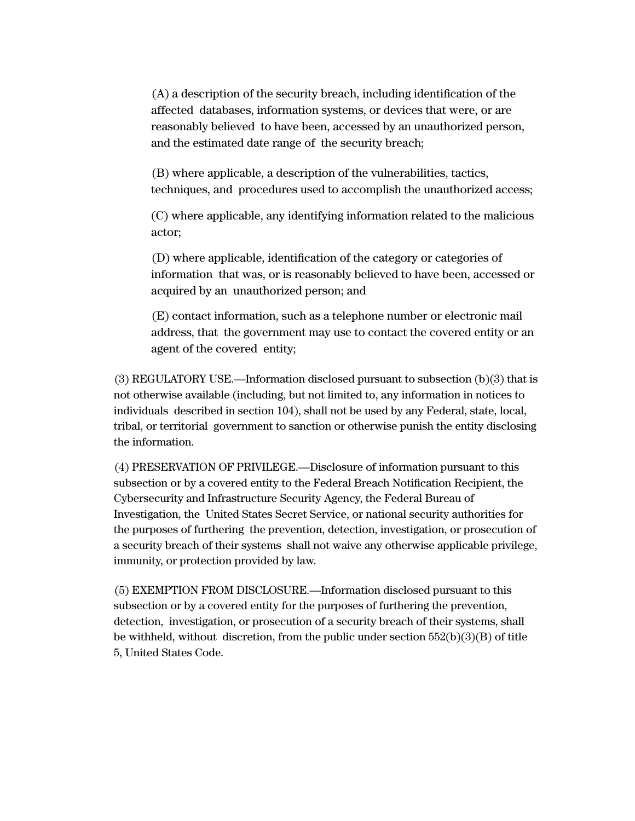(A) a description of the security breach, including identification of the affected databases, information systems, or devices that were, or are reasonably believed to have been, accessed by an unauthorized person, and the estimated date range of the security breach;

(B) where applicable, a description of the vulnerabilities, tactics, techniques, and procedures used to accomplish the unauthorized access;

(C) where applicable, any identifying information related to the malicious actor;

(D) where applicable, identification of the category or categories of information that was, or is reasonably believed to have been, accessed or acquired by an unauthorized person; and

(E) contact information, such as a telephone number or electronic mail address, that the government may use to contact the covered entity or an agent of the covered entity;

(3) REGULATORY USE.—Information disclosed pursuant to subsection (b)(3) that is not otherwise available (including, but not limited to, any information in notices to individuals described in section 104), shall not be used by any Federal, state, local, tribal, or territorial government to sanction or otherwise punish the entity disclosing the information.

(4) PRESERVATION OF PRIVILEGE.—Disclosure of information pursuant to this subsection or by a covered entity to the Federal Breach Notification Recipient, the Cybersecurity and Infrastructure Security Agency, the Federal Bureau of Investigation, the United States Secret Service, or national security authorities for the purposes of furthering the prevention, detection, investigation, or prosecution of a security breach of their systems shall not waive any otherwise applicable privilege, immunity, or protection provided by law.

(5) EXEMPTION FROM DISCLOSURE.—Information disclosed pursuant to this subsection or by a covered entity for the purposes of furthering the prevention, detection, investigation, or prosecution of a security breach of their systems, shall be withheld, without discretion, from the public under section  $552(b)(3)(B)$  of title 5, United States Code.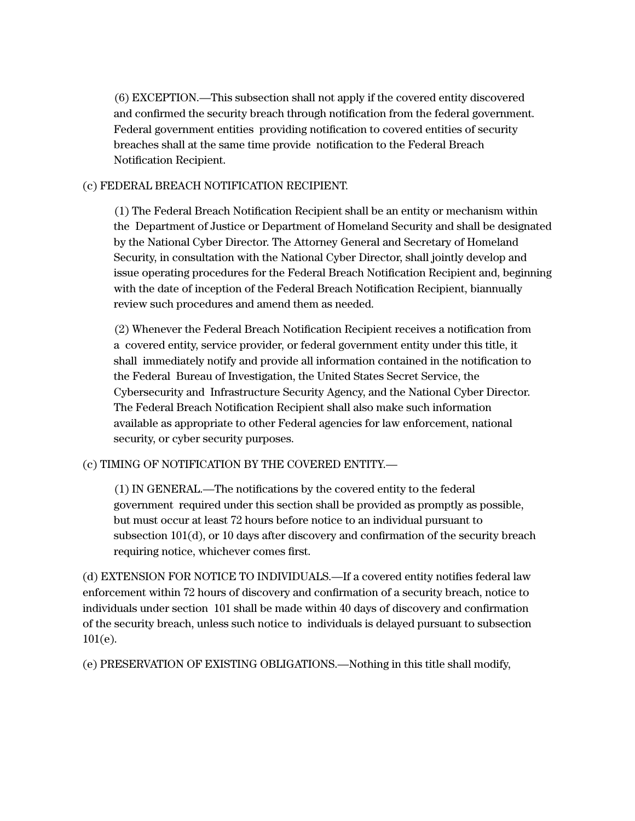(6) EXCEPTION.—This subsection shall not apply if the covered entity discovered and confirmed the security breach through notification from the federal government. Federal government entities providing notification to covered entities of security breaches shall at the same time provide notification to the Federal Breach Notification Recipient.

### (c) FEDERAL BREACH NOTIFICATION RECIPIENT.

(1) The Federal Breach Notification Recipient shall be an entity or mechanism within the Department of Justice or Department of Homeland Security and shall be designated by the National Cyber Director. The Attorney General and Secretary of Homeland Security, in consultation with the National Cyber Director, shall jointly develop and issue operating procedures for the Federal Breach Notification Recipient and, beginning with the date of inception of the Federal Breach Notification Recipient, biannually review such procedures and amend them as needed.

(2) Whenever the Federal Breach Notification Recipient receives a notification from a covered entity, service provider, or federal government entity under this title, it shall immediately notify and provide all information contained in the notification to the Federal Bureau of Investigation, the United States Secret Service, the Cybersecurity and Infrastructure Security Agency, and the National Cyber Director. The Federal Breach Notification Recipient shall also make such information available as appropriate to other Federal agencies for law enforcement, national security, or cyber security purposes.

### (c) TIMING OF NOTIFICATION BY THE COVERED ENTITY.—

(1) IN GENERAL.—The notifications by the covered entity to the federal government required under this section shall be provided as promptly as possible, but must occur at least 72 hours before notice to an individual pursuant to subsection 101(d), or 10 days after discovery and confirmation of the security breach requiring notice, whichever comes first.

(d) EXTENSION FOR NOTICE TO INDIVIDUALS.—If a covered entity notifies federal law enforcement within 72 hours of discovery and confirmation of a security breach, notice to individuals under section 101 shall be made within 40 days of discovery and confirmation of the security breach, unless such notice to individuals is delayed pursuant to subsection 101(e).

(e) PRESERVATION OF EXISTING OBLIGATIONS.—Nothing in this title shall modify,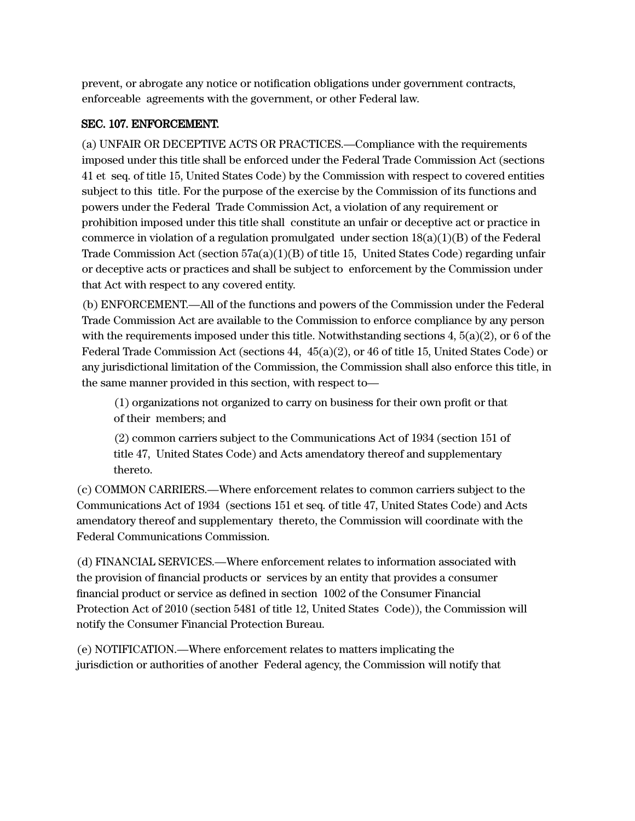prevent, or abrogate any notice or notification obligations under government contracts, enforceable agreements with the government, or other Federal law.

# SEC. 107. ENFORCEMENT.

(a) UNFAIR OR DECEPTIVE ACTS OR PRACTICES.—Compliance with the requirements imposed under this title shall be enforced under the Federal Trade Commission Act (sections 41 et seq. of title 15, United States Code) by the Commission with respect to covered entities subject to this title. For the purpose of the exercise by the Commission of its functions and powers under the Federal Trade Commission Act, a violation of any requirement or prohibition imposed under this title shall constitute an unfair or deceptive act or practice in commerce in violation of a regulation promulgated under section  $18(a)(1)(B)$  of the Federal Trade Commission Act (section  $57a(a)(1)(B)$  of title 15, United States Code) regarding unfair or deceptive acts or practices and shall be subject to enforcement by the Commission under that Act with respect to any covered entity.

(b) ENFORCEMENT.—All of the functions and powers of the Commission under the Federal Trade Commission Act are available to the Commission to enforce compliance by any person with the requirements imposed under this title. Notwithstanding sections  $4, 5(a)(2)$ , or 6 of the Federal Trade Commission Act (sections 44, 45(a)(2), or 46 of title 15, United States Code) or any jurisdictional limitation of the Commission, the Commission shall also enforce this title, in the same manner provided in this section, with respect to—

(1) organizations not organized to carry on business for their own profit or that of their members; and

(2) common carriers subject to the Communications Act of 1934 (section 151 of title 47, United States Code) and Acts amendatory thereof and supplementary thereto.

(c) COMMON CARRIERS.—Where enforcement relates to common carriers subject to the Communications Act of 1934 (sections 151 et seq. of title 47, United States Code) and Acts amendatory thereof and supplementary thereto, the Commission will coordinate with the Federal Communications Commission.

(d) FINANCIAL SERVICES.—Where enforcement relates to information associated with the provision of financial products or services by an entity that provides a consumer financial product or service as defined in section 1002 of the Consumer Financial Protection Act of 2010 (section 5481 of title 12, United States Code)), the Commission will notify the Consumer Financial Protection Bureau.

(e) NOTIFICATION.—Where enforcement relates to matters implicating the jurisdiction or authorities of another Federal agency, the Commission will notify that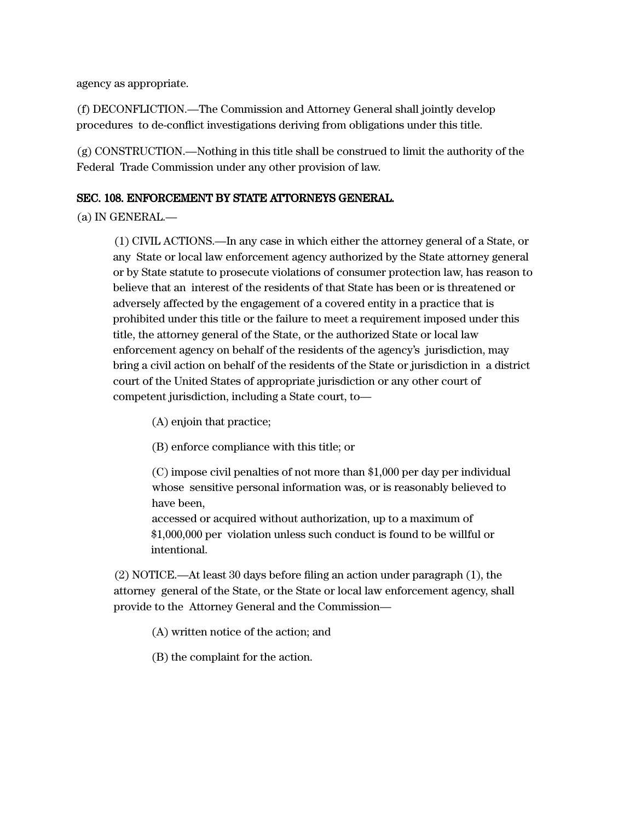agency as appropriate.

(f) DECONFLICTION.—The Commission and Attorney General shall jointly develop procedures to de-conflict investigations deriving from obligations under this title.

(g) CONSTRUCTION.—Nothing in this title shall be construed to limit the authority of the Federal Trade Commission under any other provision of law.

### SEC. 108. ENFORCEMENT BY STATE ATTORNEYS GENERAL.

(a) IN GENERAL.—

(1) CIVIL ACTIONS.—In any case in which either the attorney general of a State, or any State or local law enforcement agency authorized by the State attorney general or by State statute to prosecute violations of consumer protection law, has reason to believe that an interest of the residents of that State has been or is threatened or adversely affected by the engagement of a covered entity in a practice that is prohibited under this title or the failure to meet a requirement imposed under this title, the attorney general of the State, or the authorized State or local law enforcement agency on behalf of the residents of the agency's jurisdiction, may bring a civil action on behalf of the residents of the State or jurisdiction in a district court of the United States of appropriate jurisdiction or any other court of competent jurisdiction, including a State court, to—

(A) enjoin that practice;

(B) enforce compliance with this title; or

(C) impose civil penalties of not more than \$1,000 per day per individual whose sensitive personal information was, or is reasonably believed to have been,

accessed or acquired without authorization, up to a maximum of \$1,000,000 per violation unless such conduct is found to be willful or intentional.

(2) NOTICE.—At least 30 days before filing an action under paragraph (1), the attorney general of the State, or the State or local law enforcement agency, shall provide to the Attorney General and the Commission—

(A) written notice of the action; and

(B) the complaint for the action.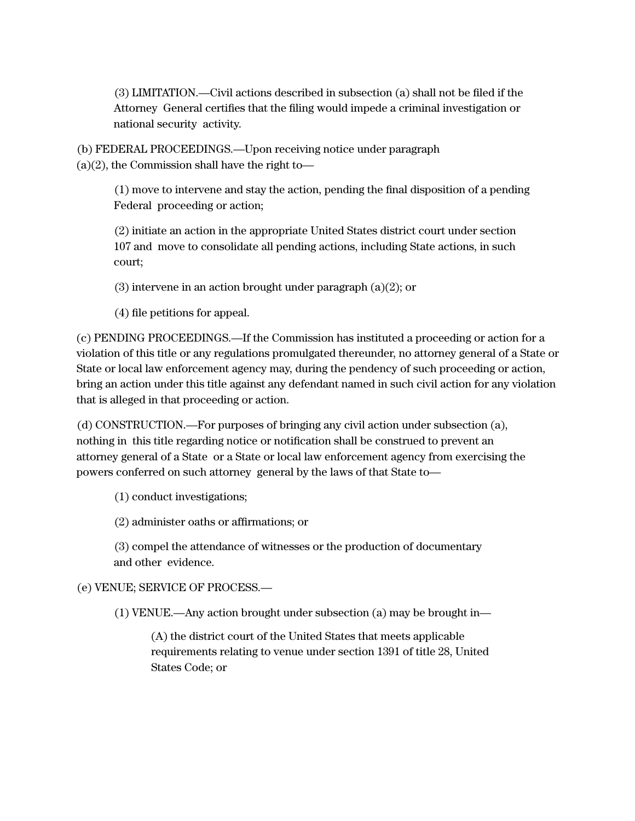(3) LIMITATION.—Civil actions described in subsection (a) shall not be filed if the Attorney General certifies that the filing would impede a criminal investigation or national security activity.

(b) FEDERAL PROCEEDINGS.—Upon receiving notice under paragraph  $(a)(2)$ , the Commission shall have the right to-

> (1) move to intervene and stay the action, pending the final disposition of a pending Federal proceeding or action;

(2) initiate an action in the appropriate United States district court under section 107 and move to consolidate all pending actions, including State actions, in such court;

(3) intervene in an action brought under paragraph (a)(2); or

(4) file petitions for appeal.

(c) PENDING PROCEEDINGS.—If the Commission has instituted a proceeding or action for a violation of this title or any regulations promulgated thereunder, no attorney general of a State or State or local law enforcement agency may, during the pendency of such proceeding or action, bring an action under this title against any defendant named in such civil action for any violation that is alleged in that proceeding or action.

(d) CONSTRUCTION.—For purposes of bringing any civil action under subsection (a), nothing in this title regarding notice or notification shall be construed to prevent an attorney general of a State or a State or local law enforcement agency from exercising the powers conferred on such attorney general by the laws of that State to—

(1) conduct investigations;

(2) administer oaths or affirmations; or

(3) compel the attendance of witnesses or the production of documentary and other evidence.

# (e) VENUE; SERVICE OF PROCESS.—

(1) VENUE.—Any action brought under subsection (a) may be brought in—

(A) the district court of the United States that meets applicable requirements relating to venue under section 1391 of title 28, United States Code; or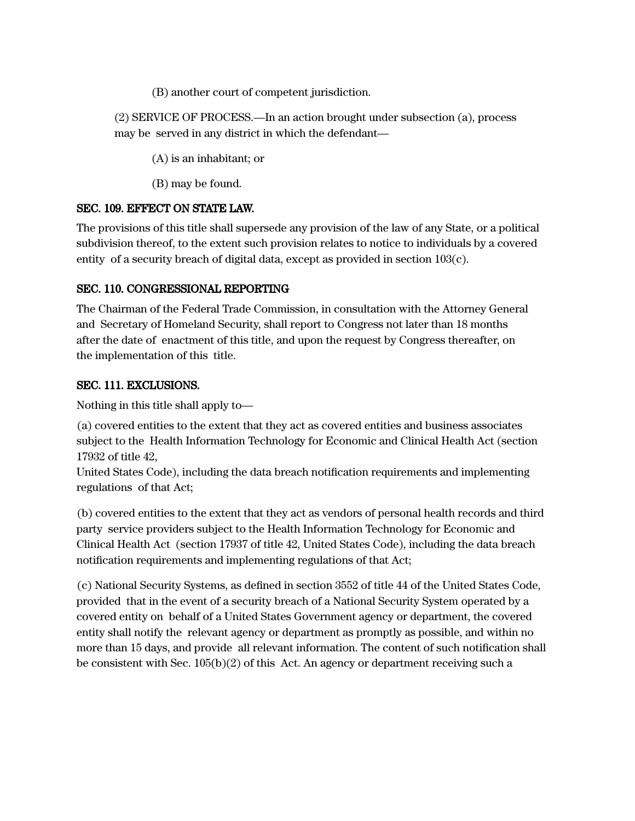(B) another court of competent jurisdiction.

(2) SERVICE OF PROCESS.—In an action brought under subsection (a), process may be served in any district in which the defendant—

(A) is an inhabitant; or

(B) may be found.

### SEC. 109. EFFECT ON STATE LAW.

The provisions of this title shall supersede any provision of the law of any State, or a political subdivision thereof, to the extent such provision relates to notice to individuals by a covered entity of a security breach of digital data, except as provided in section 103(c).

# SEC. 110. CONGRESSIONAL REPORTING

The Chairman of the Federal Trade Commission, in consultation with the Attorney General and Secretary of Homeland Security, shall report to Congress not later than 18 months after the date of enactment of this title, and upon the request by Congress thereafter, on the implementation of this title.

# SEC. 111. EXCLUSIONS.

Nothing in this title shall apply to—

(a) covered entities to the extent that they act as covered entities and business associates subject to the Health Information Technology for Economic and Clinical Health Act (section 17932 of title 42,

United States Code), including the data breach notification requirements and implementing regulations of that Act;

(b) covered entities to the extent that they act as vendors of personal health records and third party service providers subject to the Health Information Technology for Economic and Clinical Health Act (section 17937 of title 42, United States Code), including the data breach notification requirements and implementing regulations of that Act;

(c) National Security Systems, as defined in section 3552 of title 44 of the United States Code, provided that in the event of a security breach of a National Security System operated by a covered entity on behalf of a United States Government agency or department, the covered entity shall notify the relevant agency or department as promptly as possible, and within no more than 15 days, and provide all relevant information. The content of such notification shall be consistent with Sec. 105(b)(2) of this Act. An agency or department receiving such a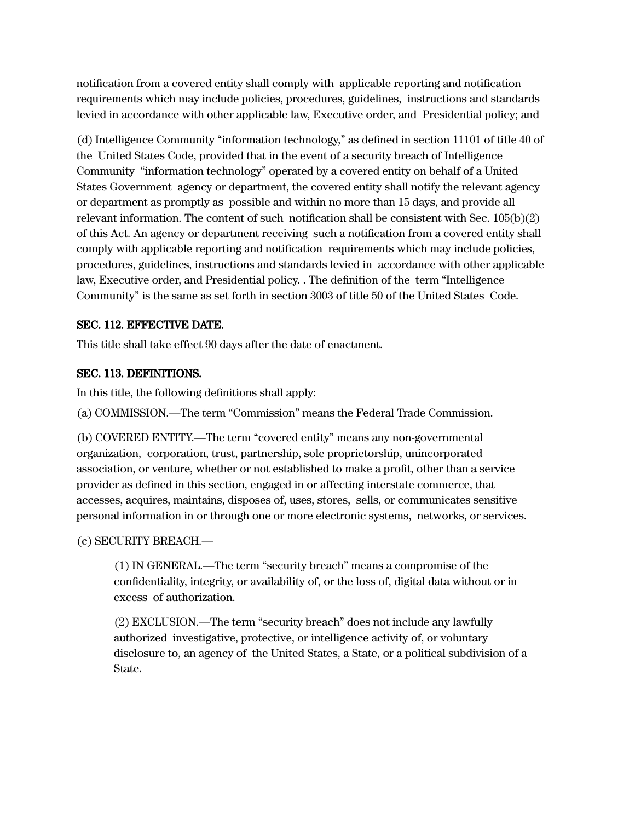notification from a covered entity shall comply with applicable reporting and notification requirements which may include policies, procedures, guidelines, instructions and standards levied in accordance with other applicable law, Executive order, and Presidential policy; and

(d) Intelligence Community "information technology," as defined in section 11101 of title 40 of the United States Code, provided that in the event of a security breach of Intelligence Community "information technology" operated by a covered entity on behalf of a United States Government agency or department, the covered entity shall notify the relevant agency or department as promptly as possible and within no more than 15 days, and provide all relevant information. The content of such notification shall be consistent with Sec. 105(b)(2) of this Act. An agency or department receiving such a notification from a covered entity shall comply with applicable reporting and notification requirements which may include policies, procedures, guidelines, instructions and standards levied in accordance with other applicable law, Executive order, and Presidential policy. . The definition of the term "Intelligence Community" is the same as set forth in section 3003 of title 50 of the United States Code.

### SEC. 112. EFFECTIVE DATE.

This title shall take effect 90 days after the date of enactment.

### SEC. 113. DEFINITIONS.

In this title, the following definitions shall apply:

(a) COMMISSION.—The term "Commission" means the Federal Trade Commission.

(b) COVERED ENTITY.—The term "covered entity" means any non-governmental organization, corporation, trust, partnership, sole proprietorship, unincorporated association, or venture, whether or not established to make a profit, other than a service provider as defined in this section, engaged in or affecting interstate commerce, that accesses, acquires, maintains, disposes of, uses, stores, sells, or communicates sensitive personal information in or through one or more electronic systems, networks, or services.

### (c) SECURITY BREACH.—

(1) IN GENERAL.—The term "security breach" means a compromise of the confidentiality, integrity, or availability of, or the loss of, digital data without or in excess of authorization.

(2) EXCLUSION.—The term "security breach" does not include any lawfully authorized investigative, protective, or intelligence activity of, or voluntary disclosure to, an agency of the United States, a State, or a political subdivision of a State.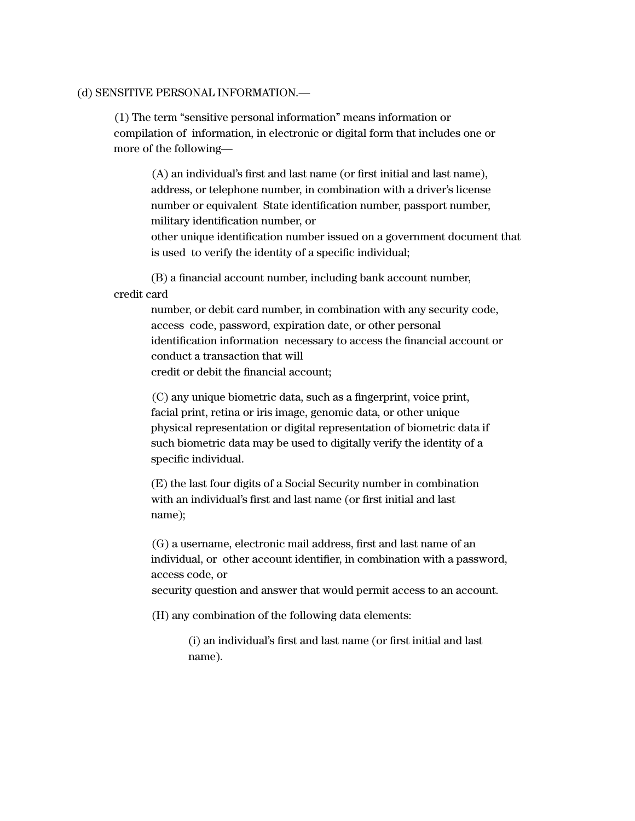#### (d) SENSITIVE PERSONAL INFORMATION.—

(1) The term "sensitive personal information" means information or compilation of information, in electronic or digital form that includes one or more of the following—

(A) an individual's first and last name (or first initial and last name), address, or telephone number, in combination with a driver's license number or equivalent State identification number, passport number, military identification number, or

other unique identification number issued on a government document that is used to verify the identity of a specific individual;

(B) a financial account number, including bank account number, credit card

> number, or debit card number, in combination with any security code, access code, password, expiration date, or other personal identification information necessary to access the financial account or conduct a transaction that will credit or debit the financial account;

(C) any unique biometric data, such as a fingerprint, voice print, facial print, retina or iris image, genomic data, or other unique physical representation or digital representation of biometric data if such biometric data may be used to digitally verify the identity of a specific individual.

(E) the last four digits of a Social Security number in combination with an individual's first and last name (or first initial and last name);

(G) a username, electronic mail address, first and last name of an individual, or other account identifier, in combination with a password, access code, or

security question and answer that would permit access to an account.

(H) any combination of the following data elements:

(i) an individual's first and last name (or first initial and last name).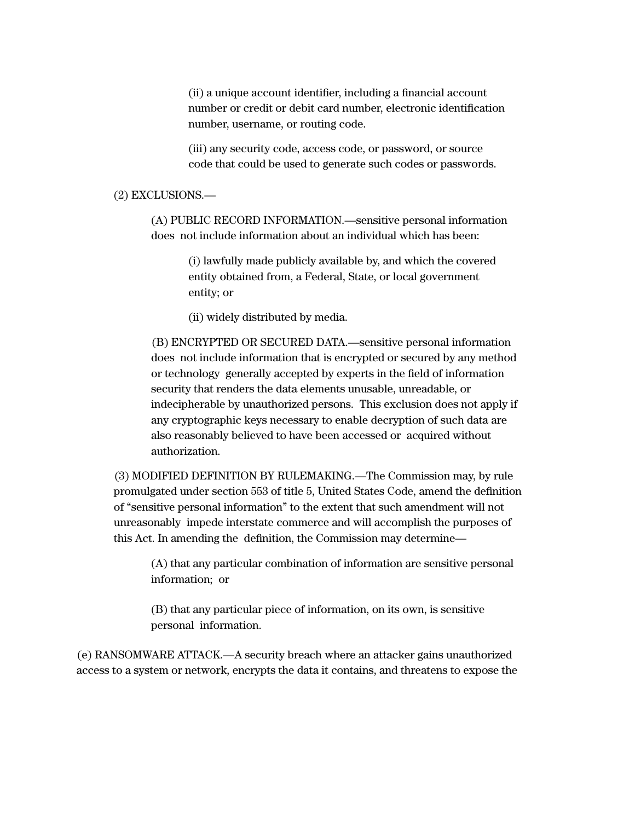(ii) a unique account identifier, including a financial account number or credit or debit card number, electronic identification number, username, or routing code.

(iii) any security code, access code, or password, or source code that could be used to generate such codes or passwords.

#### (2) EXCLUSIONS.—

(A) PUBLIC RECORD INFORMATION.—sensitive personal information does not include information about an individual which has been:

> (i) lawfully made publicly available by, and which the covered entity obtained from, a Federal, State, or local government entity; or

(ii) widely distributed by media.

(B) ENCRYPTED OR SECURED DATA.—sensitive personal information does not include information that is encrypted or secured by any method or technology generally accepted by experts in the field of information security that renders the data elements unusable, unreadable, or indecipherable by unauthorized persons. This exclusion does not apply if any cryptographic keys necessary to enable decryption of such data are also reasonably believed to have been accessed or acquired without authorization.

(3) MODIFIED DEFINITION BY RULEMAKING.—The Commission may, by rule promulgated under section 553 of title 5, United States Code, amend the definition of "sensitive personal information" to the extent that such amendment will not unreasonably impede interstate commerce and will accomplish the purposes of this Act. In amending the definition, the Commission may determine—

(A) that any particular combination of information are sensitive personal information; or

(B) that any particular piece of information, on its own, is sensitive personal information.

(e) RANSOMWARE ATTACK.—A security breach where an attacker gains unauthorized access to a system or network, encrypts the data it contains, and threatens to expose the